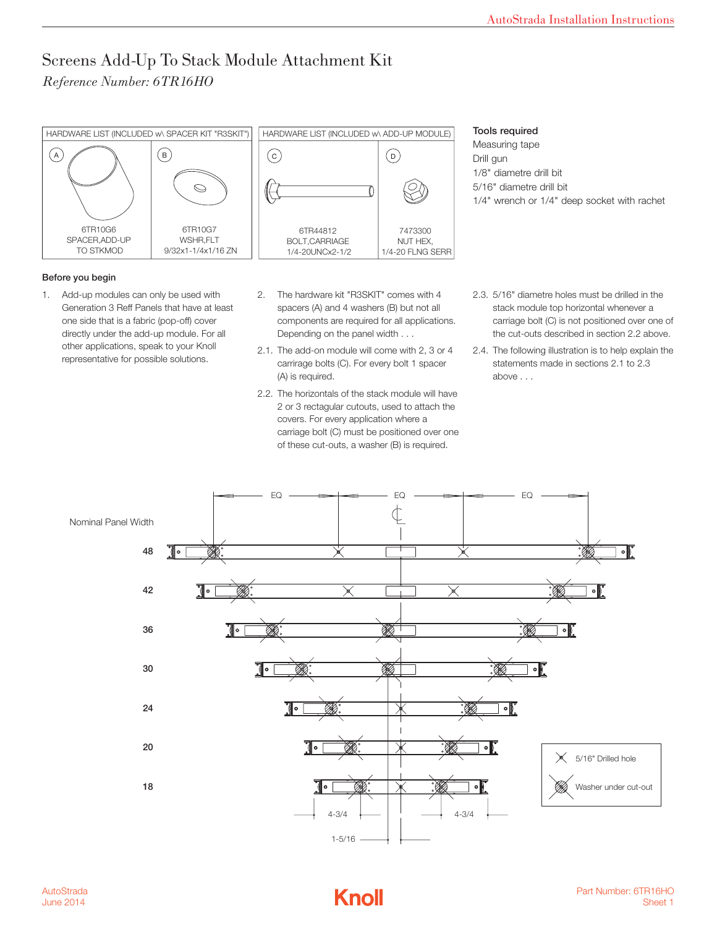## Screens Add-Up To Stack Module Attachment Kit *Reference Number: 6TR16HO*



## Before you begin

- 1. Add-up modules can only be used with Generation 3 Reff Panels that have at least one side that is a fabric (pop-off) cover directly under the add-up module. For all other applications, speak to your Knoll representative for possible solutions.
	- h and the hardware kit "R3SKIT" comes with 4 spacers (A) and 4 washers (B) but not all components are required for all applications. Depending on the panel width . . .
		- 2.1. The add-on module will come with 2, 3 or 4 carrirage bolts (C). For every bolt 1 spacer (A) is required.
		- 2.2. The horizontals of the stack module will have 2 or 3 rectagular cutouts, used to attach the covers. For every application where a carriage bolt (C) must be positioned over one of these cut-outs, a washer (B) is required.

## Tools required

Measuring tape Drill gun 1/8" diametre drill bit 5/16" diametre drill bit 1/4" wrench or 1/4" deep socket with rachet

- 2.3. 5/16" diametre holes must be drilled in the stack module top horizontal whenever a carriage bolt (C) is not positioned over one of the cut-outs described in section 2.2 above.
- 2.4. The following illustration is to help explain the statements made in sections 2.1 to 2.3 above . . .